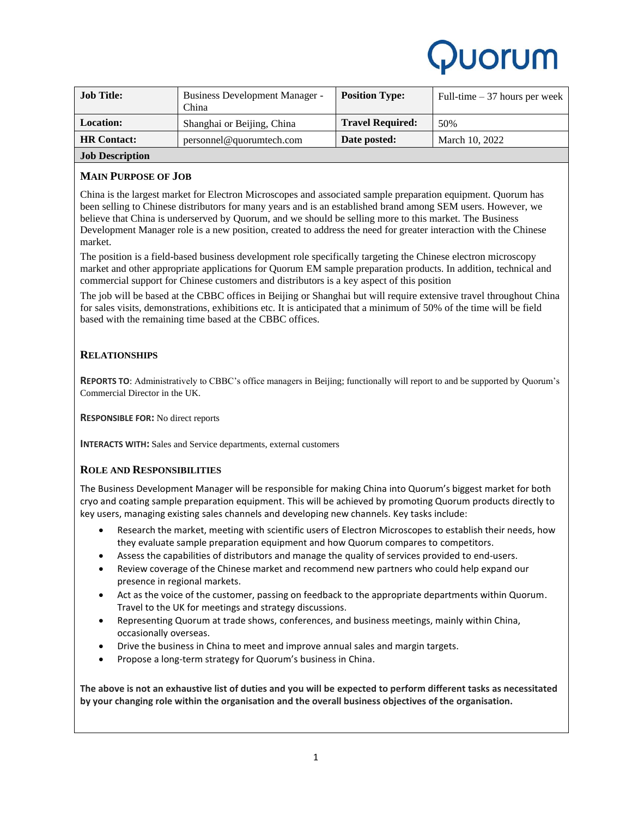

| <b>Job Title:</b>            | Business Development Manager -<br>China | <b>Position Type:</b>   | Full-time $-37$ hours per week |
|------------------------------|-----------------------------------------|-------------------------|--------------------------------|
| <b>Location:</b>             | Shanghai or Beijing, China              | <b>Travel Required:</b> | 50%                            |
| <b>HR</b> Contact:           | personnel@quorumtech.com                | Date posted:            | March 10, 2022                 |
| $\mathbf{r}$ in $\mathbf{r}$ |                                         |                         |                                |

# **Job Description**

# **MAIN PURPOSE OF JOB**

China is the largest market for Electron Microscopes and associated sample preparation equipment. Quorum has been selling to Chinese distributors for many years and is an established brand among SEM users. However, we believe that China is underserved by Quorum, and we should be selling more to this market. The Business Development Manager role is a new position, created to address the need for greater interaction with the Chinese market.

The position is a field-based business development role specifically targeting the Chinese electron microscopy market and other appropriate applications for Quorum EM sample preparation products. In addition, technical and commercial support for Chinese customers and distributors is a key aspect of this position

The job will be based at the CBBC offices in Beijing or Shanghai but will require extensive travel throughout China for sales visits, demonstrations, exhibitions etc. It is anticipated that a minimum of 50% of the time will be field based with the remaining time based at the CBBC offices.

# **RELATIONSHIPS**

**REPORTS TO**: Administratively to CBBC's office managers in Beijing; functionally will report to and be supported by Quorum's Commercial Director in the UK.

**RESPONSIBLE FOR:** No direct reports

**INTERACTS WITH:** Sales and Service departments, external customers

## **ROLE AND RESPONSIBILITIES**

The Business Development Manager will be responsible for making China into Quorum's biggest market for both cryo and coating sample preparation equipment. This will be achieved by promoting Quorum products directly to key users, managing existing sales channels and developing new channels. Key tasks include:

- Research the market, meeting with scientific users of Electron Microscopes to establish their needs, how they evaluate sample preparation equipment and how Quorum compares to competitors.
- Assess the capabilities of distributors and manage the quality of services provided to end-users.
- Review coverage of the Chinese market and recommend new partners who could help expand our presence in regional markets.
- Act as the voice of the customer, passing on feedback to the appropriate departments within Quorum. Travel to the UK for meetings and strategy discussions.
- Representing Quorum at trade shows, conferences, and business meetings, mainly within China, occasionally overseas.
- Drive the business in China to meet and improve annual sales and margin targets.
- Propose a long-term strategy for Quorum's business in China.

**The above is not an exhaustive list of duties and you will be expected to perform different tasks as necessitated by your changing role within the organisation and the overall business objectives of the organisation.**